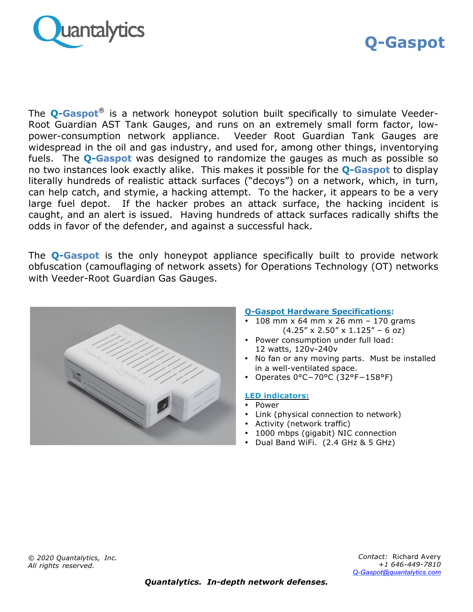



The **Q-Gaspot**® is a network honeypot solution built specifically to simulate Veeder-Root Guardian AST Tank Gauges, and runs on an extremely small form factor, lowpower-consumption network appliance. Veeder Root Guardian Tank Gauges are widespread in the oil and gas industry, and used for, among other things, inventorying fuels. The **Q-Gaspot** was designed to randomize the gauges as much as possible so no two instances look exactly alike. This makes it possible for the **Q-Gaspot** to display literally hundreds of realistic attack surfaces ("decoys") on a network, which, in turn, can help catch, and stymie, a hacking attempt. To the hacker, it appears to be a very large fuel depot. If the hacker probes an attack surface, the hacking incident is caught, and an alert is issued. Having hundreds of attack surfaces radically shifts the odds in favor of the defender, and against a successful hack.

The **Q-Gaspot** is the only honeypot appliance specifically built to provide network obfuscation (camouflaging of network assets) for Operations Technology (OT) networks with Veeder-Root Guardian Gas Gauges.



## **Q-Gaspot Hardware Specifications:**

- 108 mm x 64 mm x 26 mm 170 grams  $(4.25'' \times 2.50'' \times 1.125'' - 6$  oz)
- Power consumption under full load: 12 watts, 120v-240v
- No fan or any moving parts. Must be installed in a well-ventilated space.
- Operates 0°C−70°C (32°F−158°F)

## **LED indicators:**

• Power

- Link (physical connection to network)
- Activity (network traffic)
- 1000 mbps (gigabit) NIC connection
- Dual Band WiFi. (2.4 GHz & 5 GHz)

*© 2020 Quantalytics, Inc. All rights reserved.*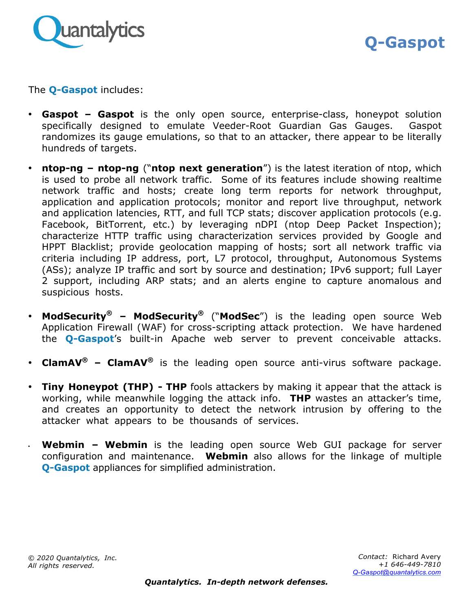



The **Q-Gaspot** includes:

- **Gaspot – Gaspot** is the only open source, enterprise-class, honeypot solution specifically designed to emulate Veeder-Root Guardian Gas Gauges. Gaspot randomizes its gauge emulations, so that to an attacker, there appear to be literally hundreds of targets.
- **ntop-ng ntop-ng** ("**ntop next generation**") is the latest iteration of ntop, which is used to probe all network traffic. Some of its features include showing realtime network traffic and hosts; create long term reports for network throughput, application and application protocols; monitor and report live throughput, network and application latencies, RTT, and full TCP stats; discover application protocols (e.g. Facebook, BitTorrent, etc.) by leveraging nDPI (ntop Deep Packet Inspection); characterize HTTP traffic using characterization services provided by Google and HPPT Blacklist; provide geolocation mapping of hosts; sort all network traffic via criteria including IP address, port, L7 protocol, throughput, Autonomous Systems (ASs); analyze IP traffic and sort by source and destination; IPv6 support; full Layer 2 support, including ARP stats; and an alerts engine to capture anomalous and suspicious hosts.
- **ModSecurity® – ModSecurity®** ("**ModSec**") is the leading open source Web Application Firewall (WAF) for cross-scripting attack protection. We have hardened the **Q-Gaspot**'s built-in Apache web server to prevent conceivable attacks.
- **ClamAV® – ClamAV®** is the leading open source anti-virus software package.
- **Tiny Honeypot (THP) - THP** fools attackers by making it appear that the attack is working, while meanwhile logging the attack info. **THP** wastes an attacker's time, and creates an opportunity to detect the network intrusion by offering to the attacker what appears to be thousands of services.
- **Webmin – Webmin** is the leading open source Web GUI package for server configuration and maintenance. **Webmin** also allows for the linkage of multiple **Q-Gaspot** appliances for simplified administration.